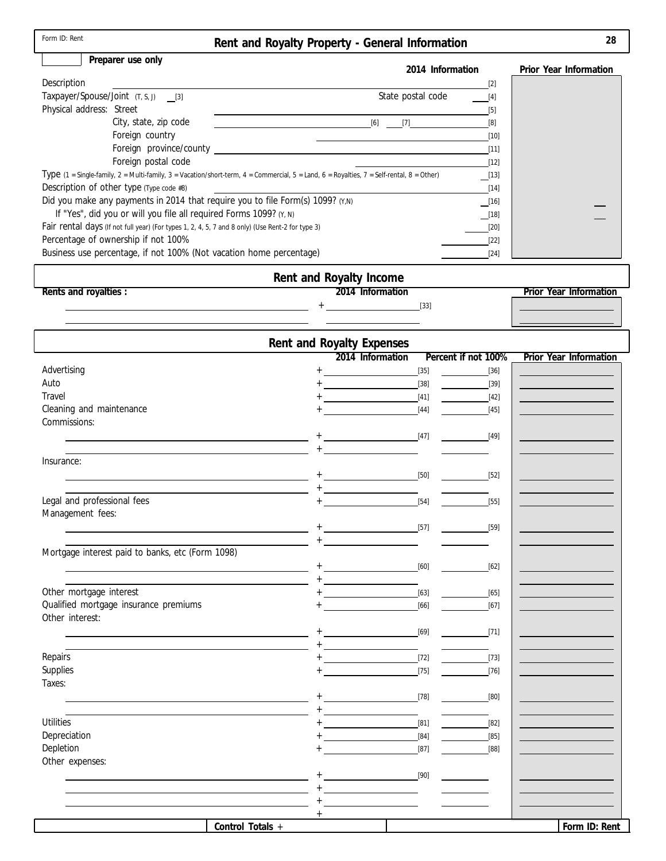| Form ID: Rent                                                                                    | Rent and Royalty Property - General Information                                                                                                                    | 28                     |
|--------------------------------------------------------------------------------------------------|--------------------------------------------------------------------------------------------------------------------------------------------------------------------|------------------------|
| Preparer use only                                                                                | 2014 Information                                                                                                                                                   | Prior Year Information |
| Description                                                                                      | [2]                                                                                                                                                                |                        |
| Taxpayer/Spouse/Joint (T, S, J) [3]                                                              | State postal code<br>[4]                                                                                                                                           |                        |
| Physical address: Street                                                                         | $[5]$                                                                                                                                                              |                        |
| City, state, zip code                                                                            | [6]<br>$[7]$<br>[8]                                                                                                                                                |                        |
| Foreign country                                                                                  | [10]                                                                                                                                                               |                        |
| Foreign province/county                                                                          | [11]                                                                                                                                                               |                        |
| Foreign postal code                                                                              | $[12]$                                                                                                                                                             |                        |
|                                                                                                  | Type $(1 =$ Single-family, $2 =$ Multi-family, $3 =$ Vacation/short-term, $4 =$ Commercial, $5 =$ Land, $6 =$ Royalties, $7 =$ Self-rental, $8 =$ Other)<br>$[13]$ |                        |
| Description of other type (Type code #8)                                                         | $[14]$                                                                                                                                                             |                        |
| Did you make any payments in 2014 that require you to file Form(s) 1099? (Y,N)                   | $\_$ [16]                                                                                                                                                          |                        |
| If "Yes", did you or will you file all required Forms 1099? (Y, N)                               | $\_$ [18]                                                                                                                                                          |                        |
| Fair rental days (If not full year) (For types 1, 2, 4, 5, 7 and 8 only) (Use Rent-2 for type 3) | $[20]$                                                                                                                                                             |                        |

| Business use percentage, if not 100% (Not vacation home percentage) |                         |  |                        |
|---------------------------------------------------------------------|-------------------------|--|------------------------|
|                                                                     | Rent and Royalty Income |  |                        |
| Rents and royalties:                                                | 2014 Information        |  | Prior Year Information |
|                                                                     | [33]                    |  |                        |

Percentage of ownership if not 100%

|                                                  |                                                                  | Rent and Royalty Expenses                                  |                     |                        |
|--------------------------------------------------|------------------------------------------------------------------|------------------------------------------------------------|---------------------|------------------------|
|                                                  |                                                                  | 2014 Information                                           | Percent if not 100% | Prior Year Information |
| Advertising                                      |                                                                  | <u> Alban Alban (</u><br>$+$                               | $[35]$              | $[36]$                 |
| Auto                                             |                                                                  | <u> 1989 - Johann Barnett, fransk politiker</u>            | $[38]$              | $[39]$                 |
| Travel                                           |                                                                  |                                                            | $[41]$              | $[42]$                 |
| Cleaning and maintenance                         |                                                                  |                                                            | $[44]$              | $[45]$                 |
| Commissions:                                     |                                                                  |                                                            |                     |                        |
|                                                  |                                                                  |                                                            | [47]                | [49]                   |
|                                                  |                                                                  | $+$                                                        |                     |                        |
| Insurance:                                       |                                                                  |                                                            |                     |                        |
|                                                  |                                                                  |                                                            | $[50]$              | $[52]$                 |
|                                                  |                                                                  | $+$ . The contract of the contract of $\mathcal{L}_1$      |                     |                        |
| Legal and professional fees                      |                                                                  |                                                            | $[54]$              | $[55]$                 |
| Management fees:                                 |                                                                  |                                                            |                     |                        |
|                                                  |                                                                  |                                                            | [57]                | $[59]$                 |
|                                                  |                                                                  |                                                            |                     |                        |
| Mortgage interest paid to banks, etc (Form 1098) |                                                                  |                                                            |                     |                        |
|                                                  | the control of the control of the control of the                 |                                                            | $[60]$              | $[62]$                 |
|                                                  | <u> 1980 - Johann John Stone, meilich aus der Stone († 1900)</u> |                                                            |                     |                        |
| Other mortgage interest                          |                                                                  |                                                            | $[63]$              | $[65]$                 |
| Qualified mortgage insurance premiums            |                                                                  |                                                            | $[66]$              | $[67]$                 |
| Other interest:                                  |                                                                  |                                                            |                     |                        |
|                                                  |                                                                  |                                                            | $[69]$              | [71]                   |
|                                                  |                                                                  |                                                            |                     |                        |
| Repairs                                          |                                                                  | [72]                                                       |                     | $[73]$                 |
| Supplies                                         |                                                                  |                                                            | $[75]$              | $[76]$                 |
| Taxes:                                           |                                                                  |                                                            |                     |                        |
|                                                  |                                                                  | and the company of the company of                          | [78]                | [80]                   |
|                                                  |                                                                  | <u> 1980 - Andrea Station Barbara, politik a politik (</u> |                     |                        |
| <b>Utilities</b>                                 |                                                                  |                                                            | $[81]$              | $[82]$                 |
| Depreciation                                     |                                                                  |                                                            | $[84]$              | $[85]$                 |
| Depletion                                        |                                                                  |                                                            | $[87]$              | [88]                   |
| Other expenses:                                  |                                                                  |                                                            |                     |                        |
|                                                  |                                                                  | <u> 1989 - Jan Barnett, fransk politiker</u>               | $[90]$              |                        |
|                                                  |                                                                  |                                                            |                     |                        |
|                                                  |                                                                  |                                                            |                     |                        |
|                                                  |                                                                  | $+$                                                        |                     |                        |
|                                                  | Control Totals +                                                 |                                                            |                     | Form ID: Rent          |

[22] [24]